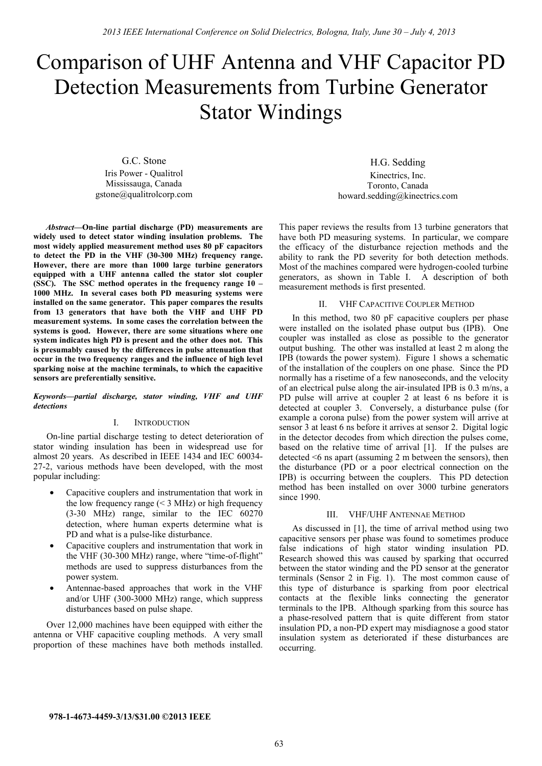# Comparison of UHF Antenna and VHF Capacitor PD Detection Measurements from Turbine Generator Stator Windings

G.C. Stone

Iris Power - Qualitrol Mississauga, Canada gstone@qualitrolcorp.com

*Abstract***—On-line partial discharge (PD) measurements are widely used to detect stator winding insulation problems. The most widely applied measurement method uses 80 pF capacitors to detect the PD in the VHF (30-300 MHz) frequency range. However, there are more than 1000 large turbine generators equipped with a UHF antenna called the stator slot coupler (SSC). The SSC method operates in the frequency range 10 – 1000 MHz. In several cases both PD measuring systems were installed on the same generator. This paper compares the results from 13 generators that have both the VHF and UHF PD measurement systems. In some cases the correlation between the systems is good. However, there are some situations where one system indicates high PD is present and the other does not. This is presumably caused by the differences in pulse attenuation that occur in the two frequency ranges and the influence of high level sparking noise at the machine terminals, to which the capacitive sensors are preferentially sensitive.** 

### *Keywords—partial discharge, stator winding, VHF and UHF detections*

### I. INTRODUCTION

On-line partial discharge testing to detect deterioration of stator winding insulation has been in widespread use for almost 20 years. As described in IEEE 1434 and IEC 60034- 27-2, various methods have been developed, with the most popular including:

- Capacitive couplers and instrumentation that work in the low frequency range  $(< 3$  MHz) or high frequency (3-30 MHz) range, similar to the IEC 60270 detection, where human experts determine what is PD and what is a pulse-like disturbance.
- Capacitive couplers and instrumentation that work in the VHF (30-300 MHz) range, where "time-of-flight" methods are used to suppress disturbances from the power system.
- Antennae-based approaches that work in the VHF and/or UHF (300-3000 MHz) range, which suppress disturbances based on pulse shape.

Over 12,000 machines have been equipped with either the antenna or VHF capacitive coupling methods. A very small proportion of these machines have both methods installed.

H.G. Sedding Kinectrics, Inc. Toronto, Canada howard.sedding@kinectrics.com

This paper reviews the results from 13 turbine generators that have both PD measuring systems. In particular, we compare the efficacy of the disturbance rejection methods and the ability to rank the PD severity for both detection methods. Most of the machines compared were hydrogen-cooled turbine generators, as shown in Table I. A description of both measurement methods is first presented.

## II. VHF CAPACITIVE COUPLER METHOD

In this method, two 80 pF capacitive couplers per phase were installed on the isolated phase output bus (IPB). One coupler was installed as close as possible to the generator output bushing. The other was installed at least 2 m along the IPB (towards the power system). Figure 1 shows a schematic of the installation of the couplers on one phase. Since the PD normally has a risetime of a few nanoseconds, and the velocity of an electrical pulse along the air-insulated IPB is 0.3 m/ns, a PD pulse will arrive at coupler 2 at least 6 ns before it is detected at coupler 3. Conversely, a disturbance pulse (for example a corona pulse) from the power system will arrive at sensor 3 at least 6 ns before it arrives at sensor 2. Digital logic in the detector decodes from which direction the pulses come, based on the relative time of arrival [1]. If the pulses are detected <6 ns apart (assuming 2 m between the sensors), then the disturbance (PD or a poor electrical connection on the IPB) is occurring between the couplers. This PD detection method has been installed on over 3000 turbine generators since 1990.

#### III. VHF/UHF ANTENNAE METHOD

As discussed in [1], the time of arrival method using two capacitive sensors per phase was found to sometimes produce false indications of high stator winding insulation PD. Research showed this was caused by sparking that occurred between the stator winding and the PD sensor at the generator terminals (Sensor 2 in Fig. 1). The most common cause of this type of disturbance is sparking from poor electrical contacts at the flexible links connecting the generator terminals to the IPB. Although sparking from this source has a phase-resolved pattern that is quite different from stator insulation PD, a non-PD expert may misdiagnose a good stator insulation system as deteriorated if these disturbances are occurring.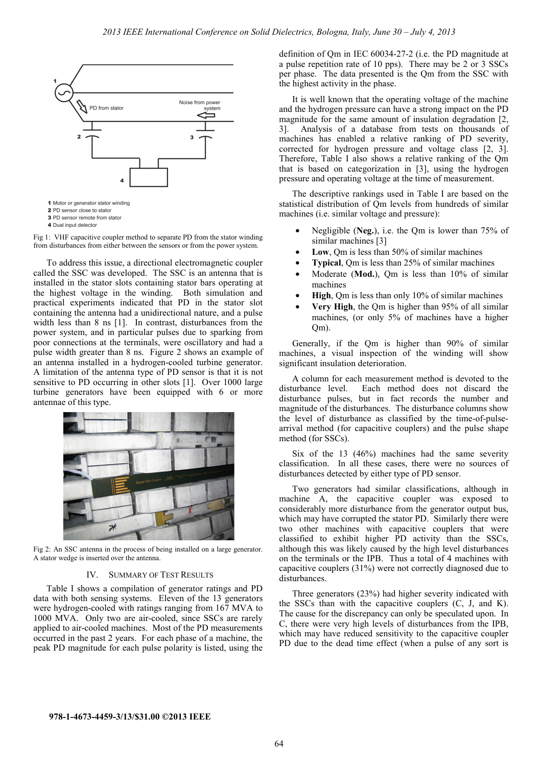

2 PD sensor close to stator 3 PD sensor remote from stator

4 Dual input detector

Fig 1: VHF capacitive coupler method to separate PD from the stator winding from disturbances from either between the sensors or from the power system.

To address this issue, a directional electromagnetic coupler called the SSC was developed. The SSC is an antenna that is installed in the stator slots containing stator bars operating at the highest voltage in the winding. Both simulation and practical experiments indicated that PD in the stator slot containing the antenna had a unidirectional nature, and a pulse width less than 8 ns [1]. In contrast, disturbances from the power system, and in particular pulses due to sparking from poor connections at the terminals, were oscillatory and had a pulse width greater than 8 ns. Figure 2 shows an example of an antenna installed in a hydrogen-cooled turbine generator. A limitation of the antenna type of PD sensor is that it is not sensitive to PD occurring in other slots [1]. Over 1000 large turbine generators have been equipped with 6 or more antennae of this type.



Fig 2: An SSC antenna in the process of being installed on a large generator. A stator wedge is inserted over the antenna.

#### IV. SUMMARY OF TEST RESULTS

Table I shows a compilation of generator ratings and PD data with both sensing systems. Eleven of the 13 generators were hydrogen-cooled with ratings ranging from 167 MVA to 1000 MVA. Only two are air-cooled, since SSCs are rarely applied to air-cooled machines. Most of the PD measurements occurred in the past 2 years. For each phase of a machine, the peak PD magnitude for each pulse polarity is listed, using the

definition of Qm in IEC 60034-27-2 (i.e. the PD magnitude at a pulse repetition rate of 10 pps). There may be 2 or 3 SSCs per phase. The data presented is the Qm from the SSC with the highest activity in the phase.

It is well known that the operating voltage of the machine and the hydrogen pressure can have a strong impact on the PD magnitude for the same amount of insulation degradation [2, 3]. Analysis of a database from tests on thousands of machines has enabled a relative ranking of PD severity, corrected for hydrogen pressure and voltage class [2, 3]. Therefore, Table I also shows a relative ranking of the Qm that is based on categorization in [3], using the hydrogen pressure and operating voltage at the time of measurement.

The descriptive rankings used in Table I are based on the statistical distribution of Qm levels from hundreds of similar machines (i.e. similar voltage and pressure):

- Negligible (**Neg.**), i.e. the Qm is lower than 75% of similar machines [3]
- **Low**, Qm is less than 50% of similar machines
- **Typical**, Om is less than 25% of similar machines
- Moderate (**Mod.**), Qm is less than 10% of similar machines
- **High**, Om is less than only 10% of similar machines
- **Very High**, the Qm is higher than 95% of all similar machines, (or only 5% of machines have a higher Qm).

Generally, if the Qm is higher than 90% of similar machines, a visual inspection of the winding will show significant insulation deterioration.

A column for each measurement method is devoted to the disturbance level. Each method does not discard the disturbance pulses, but in fact records the number and magnitude of the disturbances. The disturbance columns show the level of disturbance as classified by the time-of-pulsearrival method (for capacitive couplers) and the pulse shape method (for SSCs).

Six of the 13 (46%) machines had the same severity classification. In all these cases, there were no sources of disturbances detected by either type of PD sensor.

Two generators had similar classifications, although in machine A, the capacitive coupler was exposed to considerably more disturbance from the generator output bus, which may have corrupted the stator PD. Similarly there were two other machines with capacitive couplers that were classified to exhibit higher PD activity than the SSCs, although this was likely caused by the high level disturbances on the terminals or the IPB. Thus a total of 4 machines with capacitive couplers (31%) were not correctly diagnosed due to disturbances.

Three generators (23%) had higher severity indicated with the SSCs than with the capacitive couplers (C, J, and K). The cause for the discrepancy can only be speculated upon. In C, there were very high levels of disturbances from the IPB, which may have reduced sensitivity to the capacitive coupler PD due to the dead time effect (when a pulse of any sort is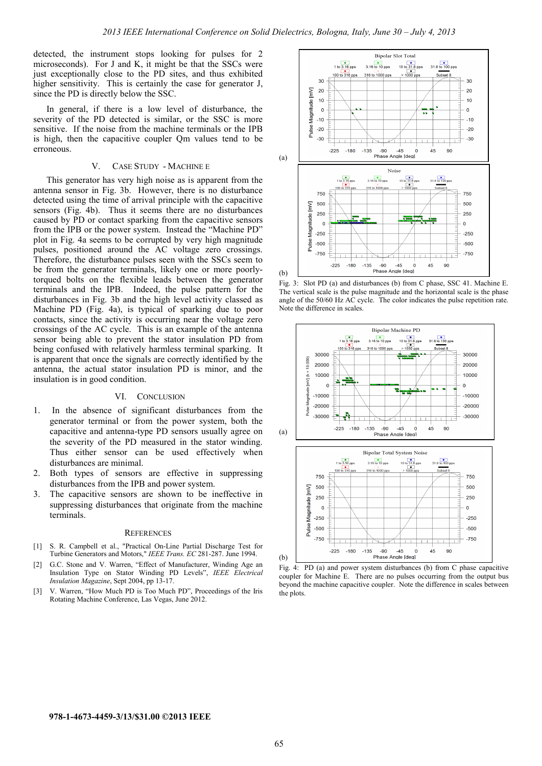detected, the instrument stops looking for pulses for 2 microseconds). For J and K, it might be that the SSCs were just exceptionally close to the PD sites, and thus exhibited higher sensitivity. This is certainly the case for generator J, since the PD is directly below the SSC.

In general, if there is a low level of disturbance, the severity of the PD detected is similar, or the SSC is more sensitive. If the noise from the machine terminals or the IPB is high, then the capacitive coupler Qm values tend to be erroneous.

## V. CASE STUDY - MACHINE E

This generator has very high noise as is apparent from the antenna sensor in Fig. 3b. However, there is no disturbance detected using the time of arrival principle with the capacitive sensors (Fig. 4b). Thus it seems there are no disturbances caused by PD or contact sparking from the capacitive sensors from the IPB or the power system. Instead the "Machine PD" plot in Fig. 4a seems to be corrupted by very high magnitude pulses, positioned around the AC voltage zero crossings. Therefore, the disturbance pulses seen with the SSCs seem to be from the generator terminals, likely one or more poorlytorqued bolts on the flexible leads between the generator terminals and the IPB. Indeed, the pulse pattern for the disturbances in Fig. 3b and the high level activity classed as Machine PD (Fig. 4a), is typical of sparking due to poor contacts, since the activity is occurring near the voltage zero crossings of the AC cycle. This is an example of the antenna sensor being able to prevent the stator insulation PD from being confused with relatively harmless terminal sparking. It is apparent that once the signals are correctly identified by the antenna, the actual stator insulation PD is minor, and the insulation is in good condition.

## VI. CONCLUSION

- 1. In the absence of significant disturbances from the generator terminal or from the power system, both the capacitive and antenna-type PD sensors usually agree on the severity of the PD measured in the stator winding. Thus either sensor can be used effectively when disturbances are minimal.
- 2. Both types of sensors are effective in suppressing disturbances from the IPB and power system.
- 3. The capacitive sensors are shown to be ineffective in suppressing disturbances that originate from the machine terminals.

#### **REFERENCES**

- [1] S. R. Campbell et al., "Practical On-Line Partial Discharge Test for Turbine Generators and Motors," *IEEE Trans. EC* 281-287. June 1994.
- [2] G.C. Stone and V. Warren, "Effect of Manufacturer, Winding Age an Insulation Type on Stator Winding PD Levels", *IEEE Electrical Insulation Magazine*, Sept 2004, pp 13-17.
- [3] V. Warren, "How Much PD is Too Much PD", Proceedings of the Iris Rotating Machine Conference, Las Vegas, June 2012.



Fig. 3: Slot PD (a) and disturbances (b) from C phase, SSC 41. Machine E. The vertical scale is the pulse magnitude and the horizontal scale is the phase angle of the 50/60 Hz AC cycle. The color indicates the pulse repetition rate. Note the difference in scales.



Fig. 4: PD (a) and power system disturbances (b) from C phase capacitive coupler for Machine E. There are no pulses occurring from the output bus beyond the machine capacitive coupler. Note the difference in scales between

the plots.